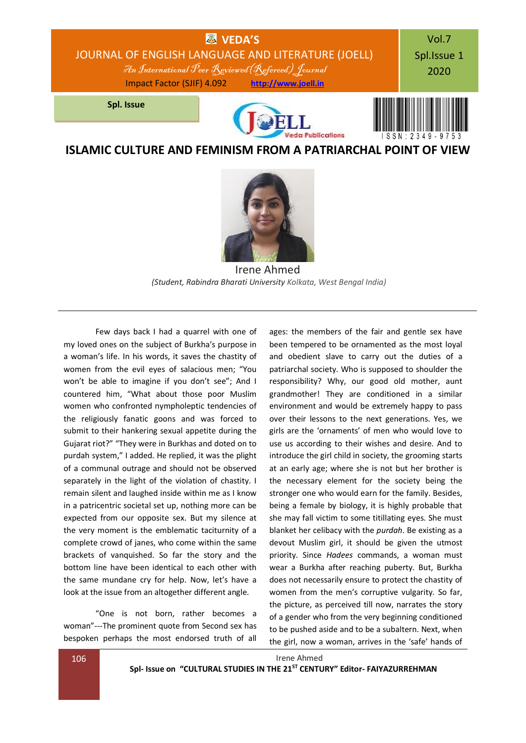

**ISLAMIC CULTURE AND FEMINISM FROM A PATRIARCHAL POINT OF VIEW**



Irene Ahmed *(Student, Rabindra Bharati University Kolkata, West Bengal India)*

Few days back I had a quarrel with one of my loved ones on the subject of Burkha's purpose in a woman's life. In his words, it saves the chastity of women from the evil eyes of salacious men; "You won't be able to imagine if you don't see"; And I countered him, "What about those poor Muslim women who confronted nympholeptic tendencies of the religiously fanatic goons and was forced to submit to their hankering sexual appetite during the Gujarat riot?" "They were in Burkhas and doted on to purdah system," I added. He replied, it was the plight of a communal outrage and should not be observed separately in the light of the violation of chastity. I remain silent and laughed inside within me as I know in a patricentric societal set up, nothing more can be expected from our opposite sex. But my silence at the very moment is the emblematic taciturnity of a complete crowd of janes, who come within the same brackets of vanquished. So far the story and the bottom line have been identical to each other with the same mundane cry for help. Now, let's have a look at the issue from an altogether different angle.

"One is not born, rather becomes a woman"---The prominent quote from Second sex has bespoken perhaps the most endorsed truth of all

ages: the members of the fair and gentle sex have been tempered to be ornamented as the most loyal and obedient slave to carry out the duties of a patriarchal society. Who is supposed to shoulder the responsibility? Why, our good old mother, aunt grandmother! They are conditioned in a similar environment and would be extremely happy to pass over their lessons to the next generations. Yes, we girls are the 'ornaments' of men who would love to use us according to their wishes and desire. And to introduce the girl child in society, the grooming starts at an early age; where she is not but her brother is the necessary element for the society being the stronger one who would earn for the family. Besides, being a female by biology, it is highly probable that she may fall victim to some titillating eyes. She must blanket her celibacy with the *purdah*. Be existing as a devout Muslim girl, it should be given the utmost priority. Since *Hadees* commands, a woman must wear a Burkha after reaching puberty. But, Burkha does not necessarily ensure to protect the chastity of women from the men's corruptive vulgarity. So far, the picture, as perceived till now, narrates the story of a gender who from the very beginning conditioned to be pushed aside and to be a subaltern. Next, when the girl, now a woman, arrives in the 'safe' hands of